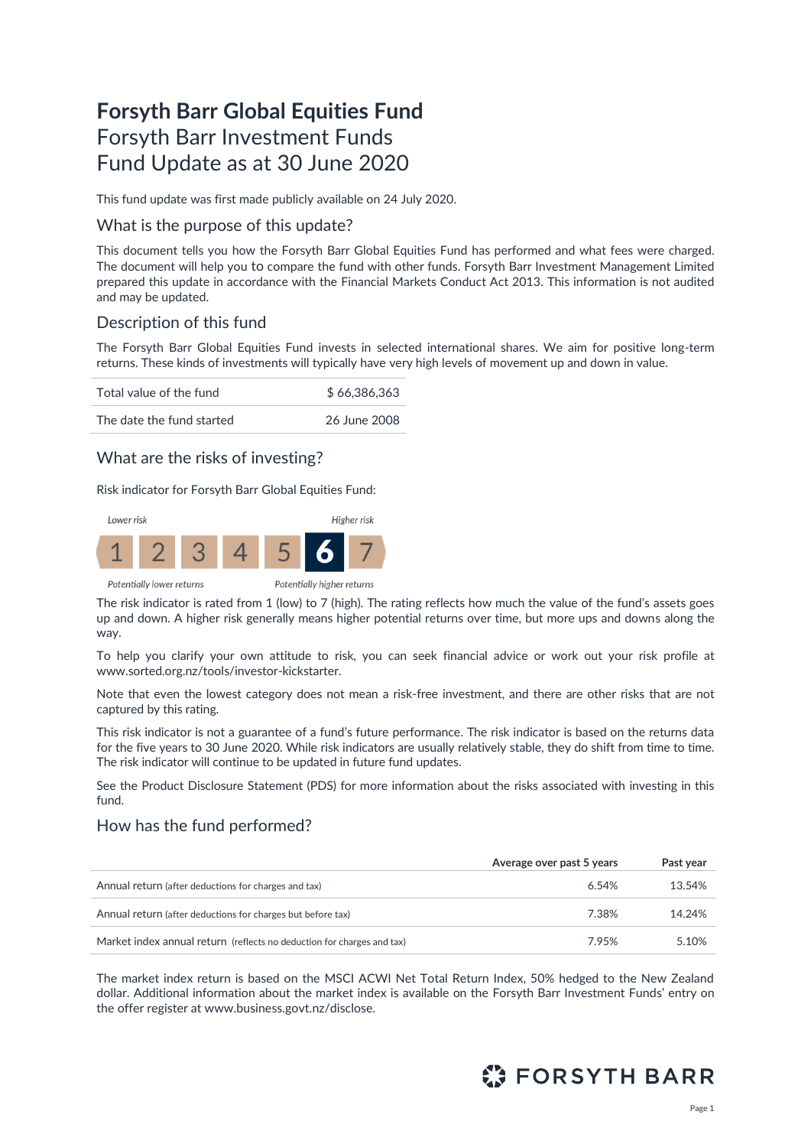# **Forsyth Barr Global Equities Fund** Forsyth Barr Investment Funds Fund Update as at 30 June 2020

This fund update was first made publicly available on 24 July 2020.

## What is the purpose of this update?

This document tells you how the Forsyth Barr Global Equities Fund has performed and what fees were charged. The document will help you to compare the fund with other funds. Forsyth Barr Investment Management Limited prepared this update in accordance with the Financial Markets Conduct Act 2013. This information is not audited and may be updated.

## Description of this fund

The Forsyth Barr Global Equities Fund invests in selected international shares. We aim for positive long-term returns. These kinds of investments will typically have very high levels of movement up and down in value.

| Total value of the fund   | \$66,386,363 |  |
|---------------------------|--------------|--|
| The date the fund started | 26 June 2008 |  |

## What are the risks of investing?

Risk indicator for Forsyth Barr Global Equities Fund:



The risk indicator is rated from 1 (low) to 7 (high). The rating reflects how much the value of the fund's assets goes up and down. A higher risk generally means higher potential returns over time, but more ups and downs along the way.

To help you clarify your own attitude to risk, you can seek financial advice or work out your risk profile at [www.sorted.org.nz/tools/investor-kickstarter.](http://www.sorted.org.nz/tools/investor-kickstarter)

Note that even the lowest category does not mean a risk-free investment, and there are other risks that are not captured by this rating.

This risk indicator is not a guarantee of a fund's future performance. The risk indicator is based on the returns data for the five years to 30 June 2020. While risk indicators are usually relatively stable, they do shift from time to time. The risk indicator will continue to be updated in future fund updates.

See the Product Disclosure Statement (PDS) for more information about the risks associated with investing in this fund.

## How has the fund performed?

|                                                                        | Average over past 5 years | Past year |
|------------------------------------------------------------------------|---------------------------|-----------|
| Annual return (after deductions for charges and tax)                   | 6.54%                     | 13.54%    |
| Annual return (after deductions for charges but before tax)            | 7.38%                     | 14.24%    |
| Market index annual return (reflects no deduction for charges and tax) | 7.95%                     | 5.10%     |

The market index return is based on the MSCI ACWI Net Total Return Index, 50% hedged to the New Zealand dollar. Additional information about the market index is available on the Forsyth Barr Investment Funds' entry on the offer register at [www.business.govt.nz/disclose](http://www.business.govt.nz/disclose)*.*

# **ES FORSYTH BARR**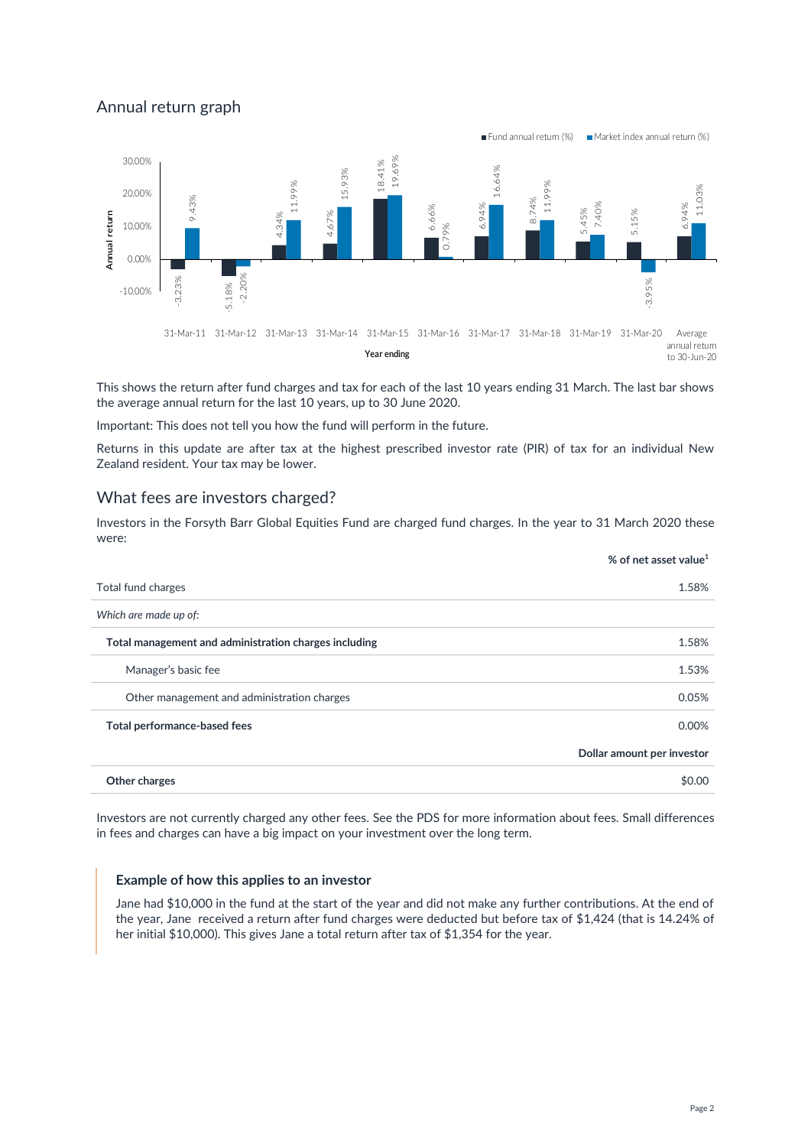# Annual return graph



This shows the return after fund charges and tax for each of the last 10 years ending 31 March. The last bar shows the average annual return for the last 10 years, up to 30 June 2020.

Important: This does not tell you how the fund will perform in the future.

Returns in this update are after tax at the highest prescribed investor rate (PIR) of tax for an individual New Zealand resident. Your tax may be lower.

### What fees are investors charged?

Investors in the Forsyth Barr Global Equities Fund are charged fund charges. In the year to 31 March 2020 these were:

|                                                       | % of net asset value <sup>1</sup> |
|-------------------------------------------------------|-----------------------------------|
| Total fund charges                                    | 1.58%                             |
| Which are made up of:                                 |                                   |
| Total management and administration charges including | 1.58%                             |
| Manager's basic fee                                   | 1.53%                             |
| Other management and administration charges           | 0.05%                             |
| Total performance-based fees                          | 0.00%                             |
|                                                       | Dollar amount per investor        |
| Other charges                                         | \$0.00                            |

Investors are not currently charged any other fees. See the PDS for more information about fees. Small differences in fees and charges can have a big impact on your investment over the long term.

#### **Example of how this applies to an investor**

Jane had \$10,000 in the fund at the start of the year and did not make any further contributions. At the end of the year, Jane received a return after fund charges were deducted but before tax of \$1,424 (that is 14.24% of her initial \$10,000). This gives Jane a total return after tax of \$1,354 for the year.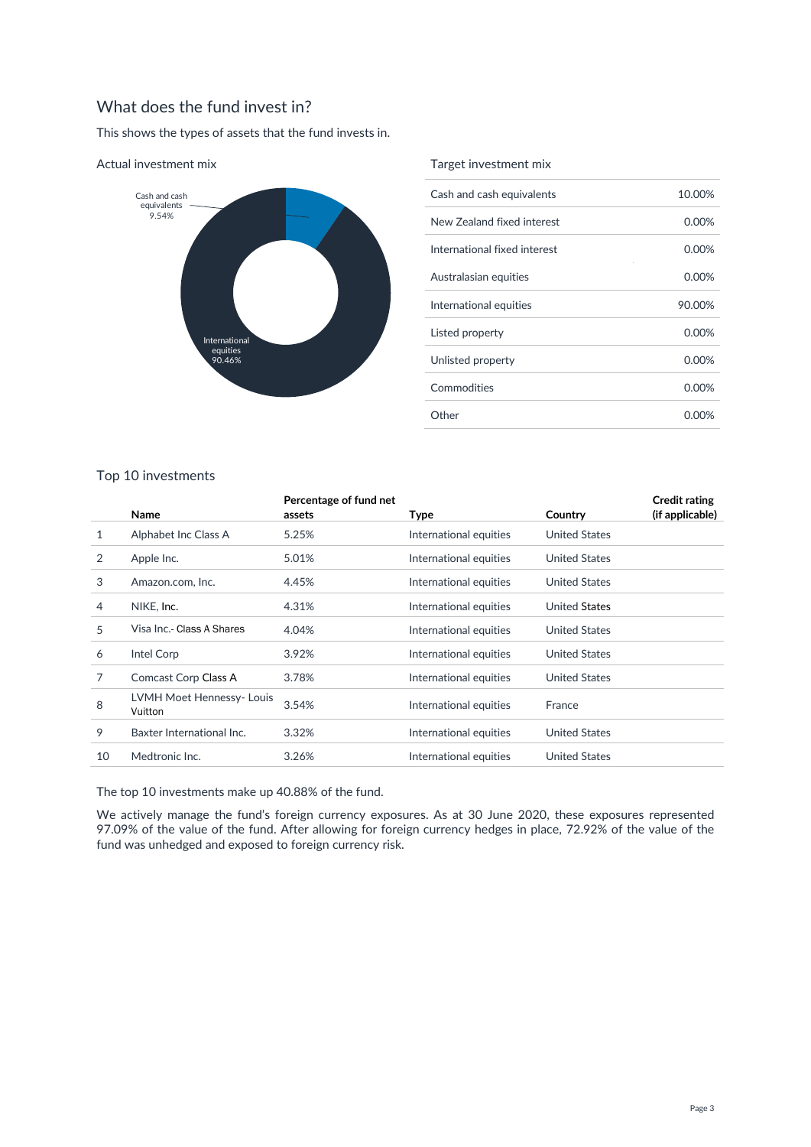# What does the fund invest in?

This shows the types of assets that the fund invests in.



#### Actual investment mix

#### Target investment mix

| Cash and cash equivalents    | 10.00%   |
|------------------------------|----------|
| New Zealand fixed interest   | 0.00%    |
| International fixed interest | $0.00\%$ |
| Australasian equities        | $0.00\%$ |
| International equities       | 90.00%   |
| Listed property              | 0.00%    |
| Unlisted property            | 0.00%    |
| Commodities                  | 0.00%    |
| Other                        | 0.00%    |

### Top 10 investments

|    | Name                                 | Percentage of fund net<br>assets | Type                   | Country              | <b>Credit rating</b><br>(if applicable) |
|----|--------------------------------------|----------------------------------|------------------------|----------------------|-----------------------------------------|
| 1  | Alphabet Inc Class A                 | 5.25%                            | International equities | <b>United States</b> |                                         |
| 2  | Apple Inc.                           | 5.01%                            | International equities | <b>United States</b> |                                         |
| 3  | Amazon.com. Inc.                     | 4.45%                            | International equities | <b>United States</b> |                                         |
| 4  | NIKE, Inc.                           | 4.31%                            | International equities | <b>United States</b> |                                         |
| 5  | Visa Inc.- Class A Shares            | 4.04%                            | International equities | <b>United States</b> |                                         |
| 6  | Intel Corp                           | 3.92%                            | International equities | <b>United States</b> |                                         |
| 7  | Comcast Corp Class A                 | 3.78%                            | International equities | <b>United States</b> |                                         |
| 8  | LVMH Moet Hennessy- Louis<br>Vuitton | 3.54%                            | International equities | France               |                                         |
| 9  | Baxter International Inc.            | 3.32%                            | International equities | <b>United States</b> |                                         |
| 10 | Medtronic Inc.                       | 3.26%                            | International equities | <b>United States</b> |                                         |
|    |                                      |                                  |                        |                      |                                         |

The top 10 investments make up 40.88% of the fund.

We actively manage the fund's foreign currency exposures. As at 30 June 2020, these exposures represented 97.09% of the value of the fund. After allowing for foreign currency hedges in place, 72.92% of the value of the fund was unhedged and exposed to foreign currency risk.